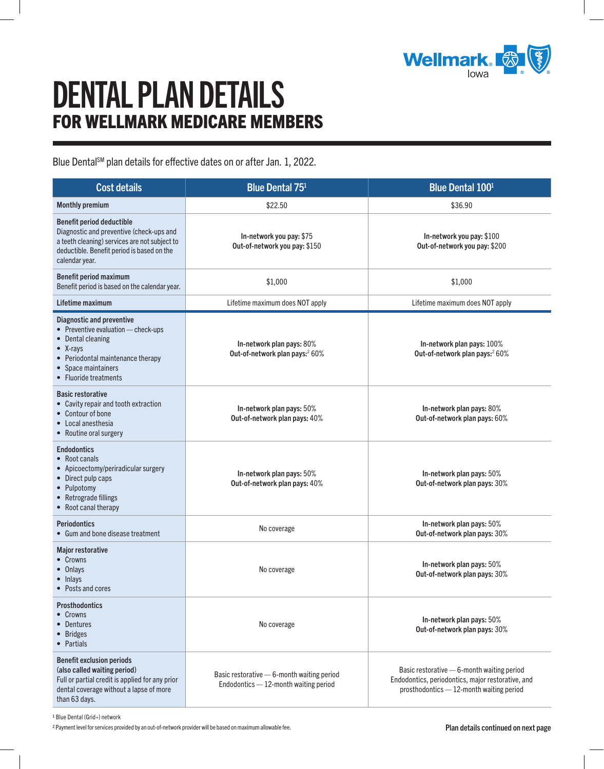

## DENTAL PLAN DETAILS FOR WELLMARK MEDICARE MEMBERS

Blue Dental<sup>SM</sup> plan details for effective dates on or after Jan. 1, 2022.

<span id="page-0-0"></span>

| <b>Cost details</b>                                                                                                                                                                                   | <b>Blue Dental 751</b>                                                                | <b>Blue Dental 1001</b>                                                                                                                       |
|-------------------------------------------------------------------------------------------------------------------------------------------------------------------------------------------------------|---------------------------------------------------------------------------------------|-----------------------------------------------------------------------------------------------------------------------------------------------|
| <b>Monthly premium</b>                                                                                                                                                                                | \$22.50                                                                               | \$36.90                                                                                                                                       |
| <b>Benefit period deductible</b><br>Diagnostic and preventive (check-ups and<br>a teeth cleaning) services are not subject to<br>deductible. Benefit period is based on the<br>calendar year.         | In-network you pay: \$75<br>Out-of-network you pay: \$150                             | In-network you pay: \$100<br>Out-of-network you pay: \$200                                                                                    |
| Benefit period maximum<br>Benefit period is based on the calendar year.                                                                                                                               | \$1,000                                                                               | \$1,000                                                                                                                                       |
| Lifetime maximum                                                                                                                                                                                      | Lifetime maximum does NOT apply                                                       | Lifetime maximum does NOT apply                                                                                                               |
| <b>Diagnostic and preventive</b><br>• Preventive evaluation - check-ups<br>• Dental cleaning<br>$\bullet$ X-rays<br>• Periodontal maintenance therapy<br>• Space maintainers<br>• Fluoride treatments | In-network plan pays: 80%<br>Out-of-network plan pays: <sup>2</sup> 60%               | In-network plan pays: 100%<br>Out-of-network plan pays: <sup>2</sup> 60%                                                                      |
| <b>Basic restorative</b><br>• Cavity repair and tooth extraction<br>• Contour of bone<br>• Local anesthesia<br>• Routine oral surgery                                                                 | In-network plan pays: 50%<br>Out-of-network plan pays: 40%                            | In-network plan pays: 80%<br>Out-of-network plan pays: 60%                                                                                    |
| <b>Endodontics</b><br>• Root canals<br>• Apicoectomy/periradicular surgery<br>• Direct pulp caps<br>• Pulpotomy<br>• Retrograde fillings<br>• Root canal therapy                                      | In-network plan pays: 50%<br>Out-of-network plan pays: 40%                            | In-network plan pays: 50%<br>Out-of-network plan pays: 30%                                                                                    |
| <b>Periodontics</b><br>• Gum and bone disease treatment                                                                                                                                               | No coverage                                                                           | In-network plan pays: 50%<br>Out-of-network plan pays: 30%                                                                                    |
| <b>Major restorative</b><br>• Crowns<br>• Onlays<br>• Inlays<br>Posts and cores                                                                                                                       | No coverage                                                                           | In-network plan pays: 50%<br>Out-of-network plan pays: 30%                                                                                    |
| <b>Prosthodontics</b><br>• Crowns<br>• Dentures<br>• Bridges<br>• Partials                                                                                                                            | No coverage                                                                           | In-network plan pays: 50%<br>Out-of-network plan pays: 30%                                                                                    |
| <b>Benefit exclusion periods</b><br>(also called waiting period)<br>Full or partial credit is applied for any prior<br>dental coverage without a lapse of more<br>than 63 days.                       | Basic restorative - 6-month waiting period<br>Endodontics $-12$ -month waiting period | Basic restorative $-6$ -month waiting period<br>Endodontics, periodontics, major restorative, and<br>prosthodontics - 12-month waiting period |

1 Blue Dental (Grid+) network

<span id="page-0-1"></span>2 Payment level for services provided by an out-of-network provider will be based on maximum allowable fee. **Plan the set of the set of the set of the set of the set of the set of the set of the set of the set of the set o**